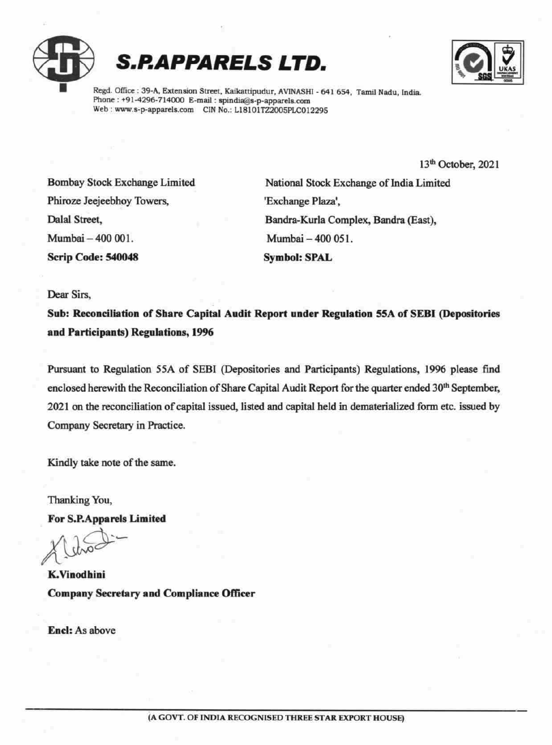





Regd. Office : 39-A, Extension Street, Kaikattipudur, AVINASHI - 641 654, Tamil Nadu, India. Phone; +91-4296-714000 E-mail : spindia@s-p-apparels.com Web: www.s-p-apparels.com CIN No.: L18101TZ2005PLC012295

13<sup>th</sup> October, 2021

Phiroze Jeejeebhoy Towers, "Exchange Plaza', Mumbai — 400 001. Mumbai — 400 051. Scrip Code: 540048 Symbol: SPAL

Bombay Stock Exchange Limited National Stock Exchange of India Limited Dalal Street, Bandra-Kurla Complex, Bandra (East),

Dear Sirs,

Sub: Reconciliation of Share Capital Audit Report under Regulation 55A of SEBI (Depositories and Participants) Regulations, 1996

Pursuant to Regulation 55A of SEBI (Depositories and Participants) Regulations, 1996 please find enclosed herewith the Reconciliation of Share Capital Audit Report for the quarter ended 30<sup>th</sup> September, 2021 on the reconciliation of capital issued, listed and capital held in dematerialized form etc. issued by Company Secretary in Practice. **S.P.APPARELS LTD.**<br>
These office and American Baser, Enhancement Contains and American Baser. Enhancement Contains and American Contains and American Contains and American Contains and American Contains and Society Revie

Kindly take note of the same.

Thanking You,

For S.P.Apparels Limited

K.Vinodhini CompanySecretary and Compliance Officer

Encl: As above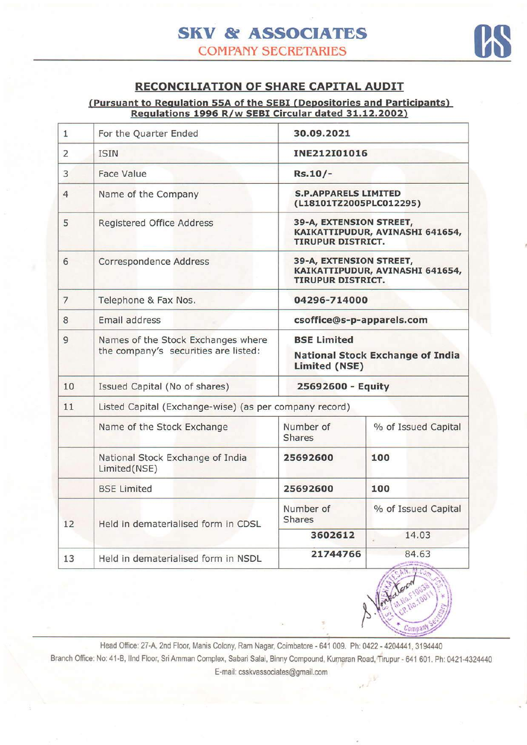

## RECONCILIATION OF SHARE CAPITAL AUDIT

(Pursuant to Regulation 55A of the SEBI (Depositories and Participants) Regulations 1996 R/w SEBI Circular dated 31.12.2002)

| $\mathbf{1}$   | For the Quarter Ended                                                      | 30.09.2021                                                                             |                                                        |  |  |  |  |  |
|----------------|----------------------------------------------------------------------------|----------------------------------------------------------------------------------------|--------------------------------------------------------|--|--|--|--|--|
| 2              | <b>ISIN</b>                                                                | INE212I01016                                                                           |                                                        |  |  |  |  |  |
| 3              | <b>Face Value</b>                                                          | $Rs.10/-$                                                                              |                                                        |  |  |  |  |  |
| 4              | Name of the Company                                                        |                                                                                        | <b>S.P.APPARELS LIMITED</b><br>(L18101TZ2005PLC012295) |  |  |  |  |  |
| 5              | Registered Office Address                                                  | 39-A, EXTENSION STREET,<br>KAIKATTIPUDUR, AVINASHI 641654,<br><b>TIRUPUR DISTRICT.</b> |                                                        |  |  |  |  |  |
| 6              | Correspondence Address                                                     | 39-A, EXTENSION STREET,<br>KAIKATTIPUDUR, AVINASHI 641654,<br><b>TIRUPUR DISTRICT.</b> |                                                        |  |  |  |  |  |
| $\overline{7}$ | Telephone & Fax Nos.                                                       | 04296-714000                                                                           |                                                        |  |  |  |  |  |
| 8              | Email address                                                              | csoffice@s-p-apparels.com                                                              |                                                        |  |  |  |  |  |
| 9              | Names of the Stock Exchanges where<br>the company's securities are listed: | <b>BSE Limited</b><br><b>National Stock Exchange of India</b><br>Limited (NSE)         |                                                        |  |  |  |  |  |
| 10             | Issued Capital (No of shares)                                              | 25692600 - Equity                                                                      |                                                        |  |  |  |  |  |
| 11             | Listed Capital (Exchange-wise) (as per company record)                     |                                                                                        |                                                        |  |  |  |  |  |
|                | Name of the Stock Exchange                                                 | Number of<br><b>Shares</b>                                                             | % of Issued Capital                                    |  |  |  |  |  |
|                | National Stock Exchange of India<br>Limited(NSE)                           | 25692600                                                                               | 100                                                    |  |  |  |  |  |
|                | <b>BSE Limited</b>                                                         | 25692600                                                                               | 100                                                    |  |  |  |  |  |
| 12             | Held in dematerialised form in CDSL                                        | Number of<br><b>Shares</b>                                                             | % of Issued Capital                                    |  |  |  |  |  |
|                |                                                                            | 3602612                                                                                | 14.03                                                  |  |  |  |  |  |
| 13             | Held in dematerialised form in NSDL                                        | 21744766                                                                               | 84.63<br><b>CARL SEA LETTER</b>                        |  |  |  |  |  |



Head Office: 27-A, 2nd Floor, Manis Colony, Ram Nagar, Coimbatore - 641 009. Ph: 0422 - 4204441, 3194440 Branch Office: No: 41-B, IInd Floor, Sri Amman Complex, Sabari Salai, Binny Compound, Kumaran Road, Tirupur - 641 601. Ph: 0421-4324440 E-mail: csskvassociates@gmail.com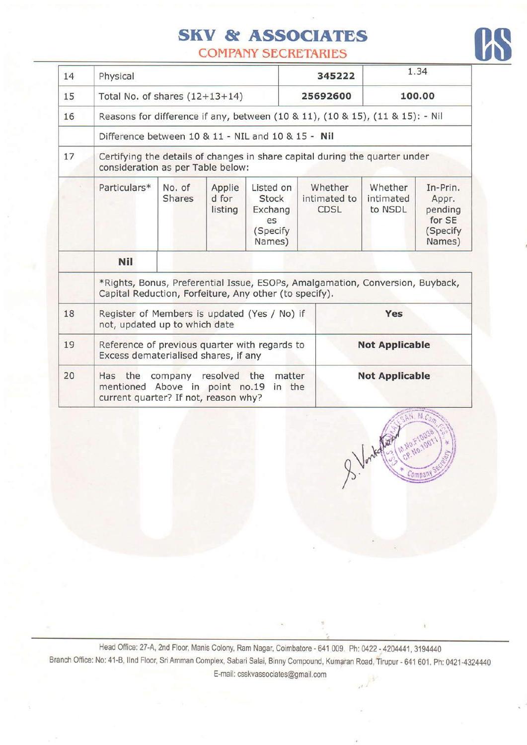## SKV & ASSOCIATES

**COMPANY SECRETARIES** 

| 14 | Physical                                                                                                                                |                                                                               |                            |                                                                  | 345222                                 | 1.34                            |                                                              |
|----|-----------------------------------------------------------------------------------------------------------------------------------------|-------------------------------------------------------------------------------|----------------------------|------------------------------------------------------------------|----------------------------------------|---------------------------------|--------------------------------------------------------------|
| 15 |                                                                                                                                         | Total No. of shares $(12+13+14)$                                              |                            |                                                                  | 25692600                               | 100.00                          |                                                              |
| 16 |                                                                                                                                         | Reasons for difference if any, between (10 & 11), (10 & 15), (11 & 15): - Nil |                            |                                                                  |                                        |                                 |                                                              |
|    |                                                                                                                                         | Difference between 10 & 11 - NIL and 10 & 15 - Nil                            |                            |                                                                  |                                        |                                 |                                                              |
| 17 | Certifying the details of changes in share capital during the quarter under<br>consideration as per Table below:                        |                                                                               |                            |                                                                  |                                        |                                 |                                                              |
|    | Particulars*                                                                                                                            | No. of<br><b>Shares</b>                                                       | Applie<br>d for<br>listing | Listed on<br><b>Stock</b><br>Exchang<br>es<br>(Specify<br>Names) | Whether<br>intimated to<br><b>CDSL</b> | Whether<br>intimated<br>to NSDL | In-Prin.<br>Appr.<br>pending<br>for SE<br>(Specify<br>Names) |
|    | <b>Nil</b>                                                                                                                              |                                                                               |                            |                                                                  |                                        |                                 |                                                              |
|    | *Rights, Bonus, Preferential Issue, ESOPs, Amalgamation, Conversion, Buyback,<br>Capital Reduction, Forfeiture, Any other (to specify). |                                                                               |                            |                                                                  |                                        |                                 |                                                              |
| 18 | Register of Members is updated (Yes / No) if<br>Yes<br>not, updated up to which date                                                    |                                                                               |                            |                                                                  |                                        |                                 |                                                              |
| 19 | Reference of previous quarter with regards to<br>Excess dematerialised shares, if any                                                   |                                                                               |                            | <b>Not Applicable</b>                                            |                                        |                                 |                                                              |
| 20 | Has the<br>company resolved<br>the<br>matter<br>Above in point no.19<br>mentioned<br>in the<br>current quarter? If not, reason why?     |                                                                               |                            |                                                                  |                                        | <b>Not Applicable</b>           |                                                              |

.i4:;{r',r-}\ Company

Head Office: 27-A, 2nd Floor, Manis Colony, Ram Nagar, Coimbatore - 641 009. Ph: 0422 - 4204441, 3194440 Branch Office: No: 41-B, Ilnd Floor, Sri Amman Complex, Sabari Salai, Binny Compound, Kumaran Road, Tirupur - 641 601. Ph: 0421-4324440 E-mail: csskvassociates@gmail.com